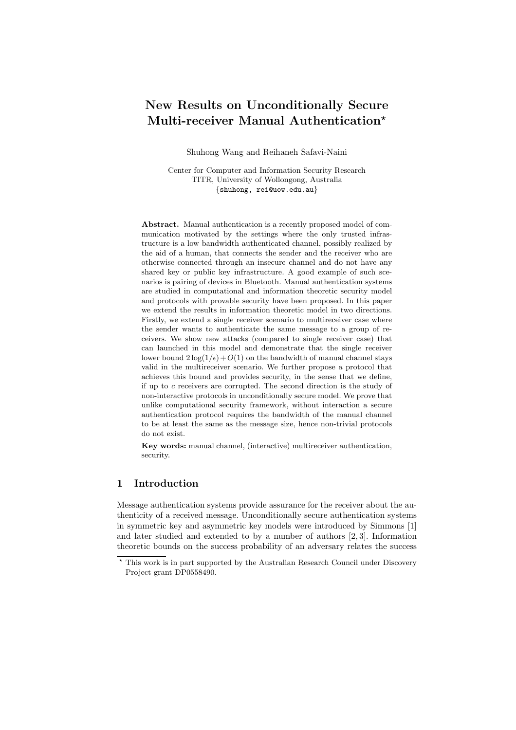# New Results on Unconditionally Secure Multi-receiver Manual Authentication<sup>\*</sup>

Shuhong Wang and Reihaneh Safavi-Naini

Center for Computer and Information Security Research TITR, University of Wollongong, Australia {shuhong, rei@uow.edu.au}

Abstract. Manual authentication is a recently proposed model of communication motivated by the settings where the only trusted infrastructure is a low bandwidth authenticated channel, possibly realized by the aid of a human, that connects the sender and the receiver who are otherwise connected through an insecure channel and do not have any shared key or public key infrastructure. A good example of such scenarios is pairing of devices in Bluetooth. Manual authentication systems are studied in computational and information theoretic security model and protocols with provable security have been proposed. In this paper we extend the results in information theoretic model in two directions. Firstly, we extend a single receiver scenario to multireceiver case where the sender wants to authenticate the same message to a group of receivers. We show new attacks (compared to single receiver case) that can launched in this model and demonstrate that the single receiver lower bound  $2\log(1/\epsilon) + O(1)$  on the bandwidth of manual channel stays valid in the multireceiver scenario. We further propose a protocol that achieves this bound and provides security, in the sense that we define, if up to c receivers are corrupted. The second direction is the study of non-interactive protocols in unconditionally secure model. We prove that unlike computational security framework, without interaction a secure authentication protocol requires the bandwidth of the manual channel to be at least the same as the message size, hence non-trivial protocols do not exist.

Key words: manual channel, (interactive) multireceiver authentication, security.

# 1 Introduction

Message authentication systems provide assurance for the receiver about the authenticity of a received message. Unconditionally secure authentication systems in symmetric key and asymmetric key models were introduced by Simmons [1] and later studied and extended to by a number of authors [2, 3]. Information theoretic bounds on the success probability of an adversary relates the success

<sup>?</sup> This work is in part supported by the Australian Research Council under Discovery Project grant DP0558490.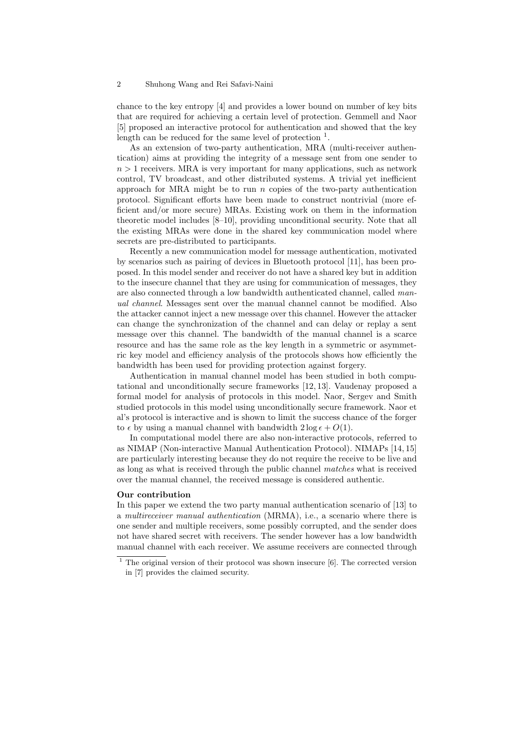chance to the key entropy [4] and provides a lower bound on number of key bits that are required for achieving a certain level of protection. Gemmell and Naor [5] proposed an interactive protocol for authentication and showed that the key length can be reduced for the same level of protection  $<sup>1</sup>$ .</sup>

As an extension of two-party authentication, MRA (multi-receiver authentication) aims at providing the integrity of a message sent from one sender to  $n > 1$  receivers. MRA is very important for many applications, such as network control, TV broadcast, and other distributed systems. A trivial yet inefficient approach for MRA might be to run  $n$  copies of the two-party authentication protocol. Significant efforts have been made to construct nontrivial (more efficient and/or more secure) MRAs. Existing work on them in the information theoretic model includes [8–10], providing unconditional security. Note that all the existing MRAs were done in the shared key communication model where secrets are pre-distributed to participants.

Recently a new communication model for message authentication, motivated by scenarios such as pairing of devices in Bluetooth protocol [11], has been proposed. In this model sender and receiver do not have a shared key but in addition to the insecure channel that they are using for communication of messages, they are also connected through a low bandwidth authenticated channel, called manual channel. Messages sent over the manual channel cannot be modified. Also the attacker cannot inject a new message over this channel. However the attacker can change the synchronization of the channel and can delay or replay a sent message over this channel. The bandwidth of the manual channel is a scarce resource and has the same role as the key length in a symmetric or asymmetric key model and efficiency analysis of the protocols shows how efficiently the bandwidth has been used for providing protection against forgery.

Authentication in manual channel model has been studied in both computational and unconditionally secure frameworks [12, 13]. Vaudenay proposed a formal model for analysis of protocols in this model. Naor, Sergev and Smith studied protocols in this model using unconditionally secure framework. Naor et al's protocol is interactive and is shown to limit the success chance of the forger to  $\epsilon$  by using a manual channel with bandwidth  $2 \log \epsilon + O(1)$ .

In computational model there are also non-interactive protocols, referred to as NIMAP (Non-interactive Manual Authentication Protocol). NIMAPs [14, 15] are particularly interesting because they do not require the receive to be live and as long as what is received through the public channel matches what is received over the manual channel, the received message is considered authentic.

### Our contribution

In this paper we extend the two party manual authentication scenario of [13] to a multireceiver manual authentication (MRMA), i.e., a scenario where there is one sender and multiple receivers, some possibly corrupted, and the sender does not have shared secret with receivers. The sender however has a low bandwidth manual channel with each receiver. We assume receivers are connected through

 $1$  The original version of their protocol was shown insecure [6]. The corrected version in [7] provides the claimed security.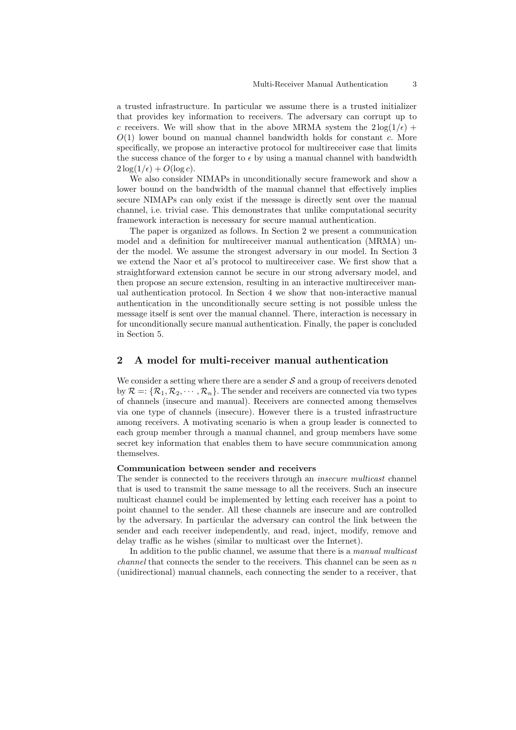a trusted infrastructure. In particular we assume there is a trusted initializer that provides key information to receivers. The adversary can corrupt up to c receivers. We will show that in the above MRMA system the  $2\log(1/\epsilon)$  +  $O(1)$  lower bound on manual channel bandwidth holds for constant c. More specifically, we propose an interactive protocol for multireceiver case that limits the success chance of the forger to  $\epsilon$  by using a manual channel with bandwidth  $2\log(1/\epsilon) + O(\log c)$ .

We also consider NIMAPs in unconditionally secure framework and show a lower bound on the bandwidth of the manual channel that effectively implies secure NIMAPs can only exist if the message is directly sent over the manual channel, i.e. trivial case. This demonstrates that unlike computational security framework interaction is necessary for secure manual authentication.

The paper is organized as follows. In Section 2 we present a communication model and a definition for multireceiver manual authentication (MRMA) under the model. We assume the strongest adversary in our model. In Section 3 we extend the Naor et al's protocol to multireceiver case. We first show that a straightforward extension cannot be secure in our strong adversary model, and then propose an secure extension, resulting in an interactive multireceiver manual authentication protocol. In Section 4 we show that non-interactive manual authentication in the unconditionally secure setting is not possible unless the message itself is sent over the manual channel. There, interaction is necessary in for unconditionally secure manual authentication. Finally, the paper is concluded in Section 5.

# 2 A model for multi-receiver manual authentication

We consider a setting where there are a sender  $S$  and a group of receivers denoted by  $\mathcal{R} = \{ \mathcal{R}_1, \mathcal{R}_2, \cdots, \mathcal{R}_n \}.$  The sender and receivers are connected via two types of channels (insecure and manual). Receivers are connected among themselves via one type of channels (insecure). However there is a trusted infrastructure among receivers. A motivating scenario is when a group leader is connected to each group member through a manual channel, and group members have some secret key information that enables them to have secure communication among themselves.

#### Communication between sender and receivers

The sender is connected to the receivers through an *insecure multicast* channel that is used to transmit the same message to all the receivers. Such an insecure multicast channel could be implemented by letting each receiver has a point to point channel to the sender. All these channels are insecure and are controlled by the adversary. In particular the adversary can control the link between the sender and each receiver independently, and read, inject, modify, remove and delay traffic as he wishes (similar to multicast over the Internet).

In addition to the public channel, we assume that there is a manual multicast *channel* that connects the sender to the receivers. This channel can be seen as  $n$ (unidirectional) manual channels, each connecting the sender to a receiver, that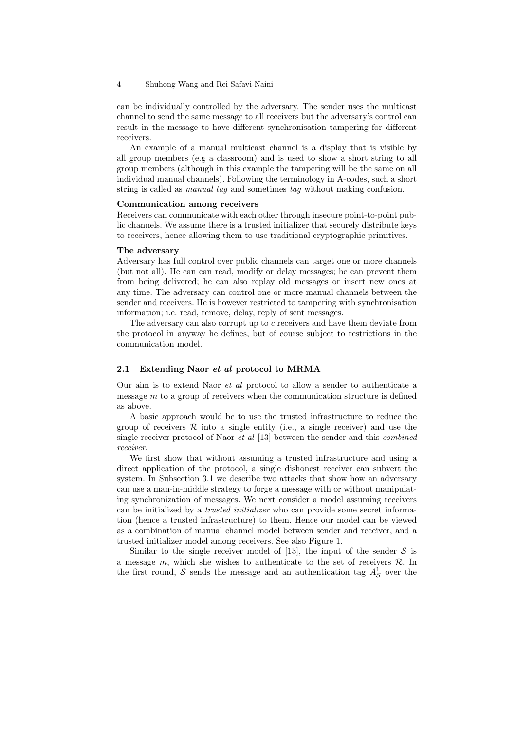can be individually controlled by the adversary. The sender uses the multicast channel to send the same message to all receivers but the adversary's control can result in the message to have different synchronisation tampering for different receivers.

An example of a manual multicast channel is a display that is visible by all group members (e.g a classroom) and is used to show a short string to all group members (although in this example the tampering will be the same on all individual manual channels). Following the terminology in A-codes, such a short string is called as manual tag and sometimes tag without making confusion.

#### Communication among receivers

Receivers can communicate with each other through insecure point-to-point public channels. We assume there is a trusted initializer that securely distribute keys to receivers, hence allowing them to use traditional cryptographic primitives.

### The adversary

Adversary has full control over public channels can target one or more channels (but not all). He can can read, modify or delay messages; he can prevent them from being delivered; he can also replay old messages or insert new ones at any time. The adversary can control one or more manual channels between the sender and receivers. He is however restricted to tampering with synchronisation information; i.e. read, remove, delay, reply of sent messages.

The adversary can also corrupt up to c receivers and have them deviate from the protocol in anyway he defines, but of course subject to restrictions in the communication model.

### 2.1 Extending Naor et al protocol to MRMA

Our aim is to extend Naor et al protocol to allow a sender to authenticate a message  $m$  to a group of receivers when the communication structure is defined as above.

A basic approach would be to use the trusted infrastructure to reduce the group of receivers  $\mathcal R$  into a single entity (i.e., a single receiver) and use the single receiver protocol of Naor  $et \ al \ [13]$  between the sender and this *combined* receiver.

We first show that without assuming a trusted infrastructure and using a direct application of the protocol, a single dishonest receiver can subvert the system. In Subsection 3.1 we describe two attacks that show how an adversary can use a man-in-middle strategy to forge a message with or without manipulating synchronization of messages. We next consider a model assuming receivers can be initialized by a trusted initializer who can provide some secret information (hence a trusted infrastructure) to them. Hence our model can be viewed as a combination of manual channel model between sender and receiver, and a trusted initializer model among receivers. See also Figure 1.

Similar to the single receiver model of [13], the input of the sender  $S$  is a message  $m$ , which she wishes to authenticate to the set of receivers  $\mathcal{R}$ . In the first round,  $S$  sends the message and an authentication tag  $A_S^1$  over the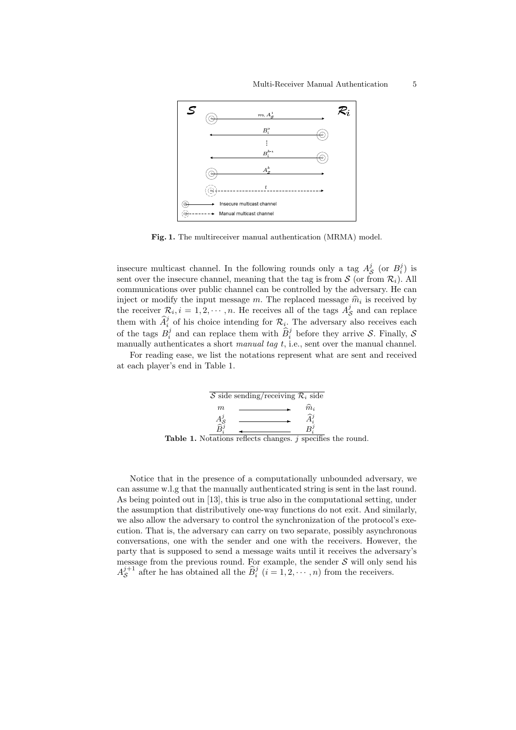

Fig. 1. The multireceiver manual authentication (MRMA) model.

insecure multicast channel. In the following rounds only a tag  $A_{\mathcal{S}}^{j}$  (or  $B_{i}^{j}$ ) is sent over the insecure channel, meaning that the tag is from  $S$  (or from  $\mathcal{R}_i$ ). All communications over public channel can be controlled by the adversary. He can inject or modify the input message  $m$ . The replaced message  $\hat{m}_i$  is received by the receiver  $\mathcal{R}_i$ ,  $i = 1, 2, \dots, n$ . He receives all of the tags  $A_{\mathcal{S}}^j$  and can replace them with  $\hat{A}_i^j$  of his choice intending for  $\mathcal{R}_i$ . The adversary also receives each of the tags  $B_i^j$  and can replace them with  $\widehat{B}_i^j$  before they arrive S. Finally, S manually authenticates a short manual tag  $t$ , i.e., sent over the manual channel.

For reading ease, we list the notations represent what are sent and received at each player's end in Table 1.



Notice that in the presence of a computationally unbounded adversary, we can assume w.l.g that the manually authenticated string is sent in the last round. As being pointed out in [13], this is true also in the computational setting, under the assumption that distributively one-way functions do not exit. And similarly, we also allow the adversary to control the synchronization of the protocol's execution. That is, the adversary can carry on two separate, possibly asynchronous conversations, one with the sender and one with the receivers. However, the party that is supposed to send a message waits until it receives the adversary's message from the previous round. For example, the sender  $S$  will only send his  $A_{\mathcal{S}}^{j+1}$  after he has obtained all the  $\widehat{B}_{i}^{j}$   $(i = 1, 2, \cdots, n)$  from the receivers.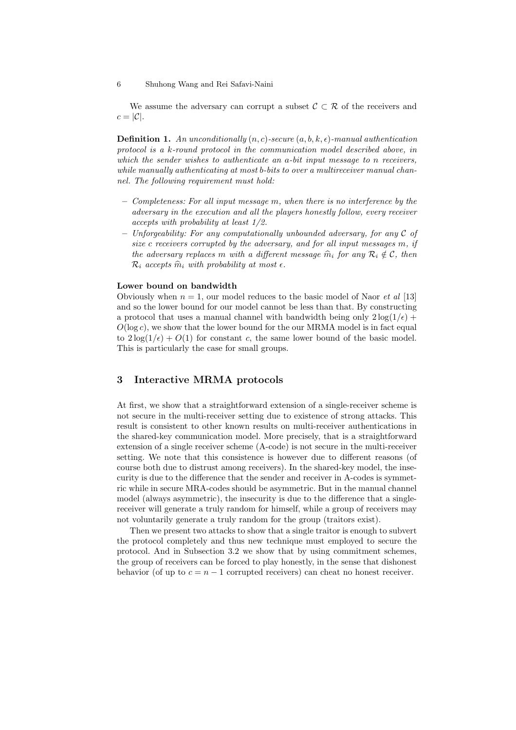We assume the adversary can corrupt a subset  $\mathcal{C} \subset \mathcal{R}$  of the receivers and  $c = |\mathcal{C}|.$ 

**Definition 1.** An unconditionally  $(n, c)$ -secure  $(a, b, k, \epsilon)$ -manual authentication protocol is a k-round protocol in the communication model described above, in which the sender wishes to authenticate an  $a$ -bit input message to n receivers, while manually authenticating at most b-bits to over a multireceiver manual channel. The following requirement must hold:

- Completeness: For all input message m, when there is no interference by the adversary in the execution and all the players honestly follow, every receiver accepts with probability at least 1/2.
- $-$  Unforgeability: For any computationally unbounded adversary, for any  $\mathcal C$  of size c receivers corrupted by the adversary, and for all input messages m, if the adversary replaces m with a different message  $\widehat{m}_i$  for any  $\mathcal{R}_i \notin \mathcal{C}$ , then  $\mathcal{R}_i$  accepts  $\hat{m}_i$  with probability at most  $\epsilon$ .

#### Lower bound on bandwidth

Obviously when  $n = 1$ , our model reduces to the basic model of Naor *et al* [13] and so the lower bound for our model cannot be less than that. By constructing a protocol that uses a manual channel with bandwidth being only  $2\log(1/\epsilon)$  +  $O(\log c)$ , we show that the lower bound for the our MRMA model is in fact equal to  $2\log(1/\epsilon) + O(1)$  for constant c, the same lower bound of the basic model. This is particularly the case for small groups.

# 3 Interactive MRMA protocols

At first, we show that a straightforward extension of a single-receiver scheme is not secure in the multi-receiver setting due to existence of strong attacks. This result is consistent to other known results on multi-receiver authentications in the shared-key communication model. More precisely, that is a straightforward extension of a single receiver scheme (A-code) is not secure in the multi-receiver setting. We note that this consistence is however due to different reasons (of course both due to distrust among receivers). In the shared-key model, the insecurity is due to the difference that the sender and receiver in A-codes is symmetric while in secure MRA-codes should be asymmetric. But in the manual channel model (always asymmetric), the insecurity is due to the difference that a singlereceiver will generate a truly random for himself, while a group of receivers may not voluntarily generate a truly random for the group (traitors exist).

Then we present two attacks to show that a single traitor is enough to subvert the protocol completely and thus new technique must employed to secure the protocol. And in Subsection 3.2 we show that by using commitment schemes, the group of receivers can be forced to play honestly, in the sense that dishonest behavior (of up to  $c = n - 1$  corrupted receivers) can cheat no honest receiver.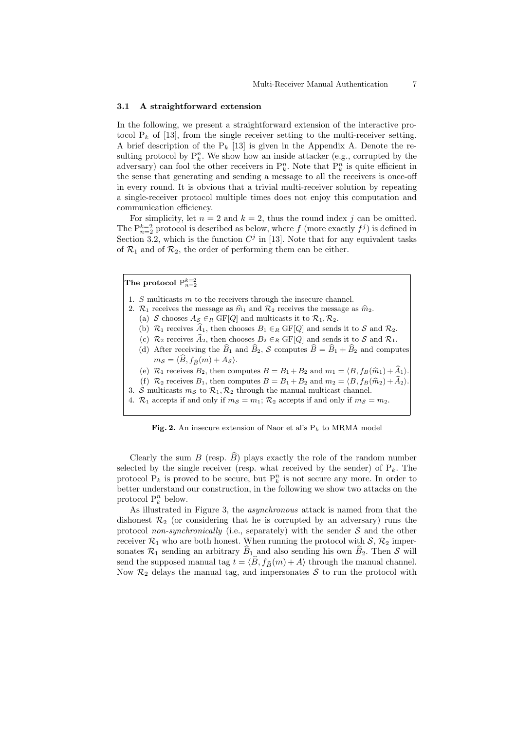#### 3.1 A straightforward extension

In the following, we present a straightforward extension of the interactive protocol  $P_k$  of [13], from the single receiver setting to the multi-receiver setting. A brief description of the  $P_k$  [13] is given in the Appendix A. Denote the resulting protocol by  $P_k^n$ . We show how an inside attacker (e.g., corrupted by the adversary) can fool the other receivers in  $P_k^n$ . Note that  $P_k^n$  is quite efficient in the sense that generating and sending a message to all the receivers is once-off in every round. It is obvious that a trivial multi-receiver solution by repeating a single-receiver protocol multiple times does not enjoy this computation and communication efficiency.

For simplicity, let  $n = 2$  and  $k = 2$ , thus the round index j can be omitted. The  $P_{n=2}^{k=2}$  protocol is described as below, where f (more exactly  $f^j$ ) is defined in Section 3.2, which is the function  $C^j$  in [13]. Note that for any equivalent tasks of  $\mathcal{R}_1$  and of  $\mathcal{R}_2$ , the order of performing them can be either.

# The protocol  $\mathrm{P}^{k=2}_{n=2}$

- 1. S multicasts m to the receivers through the insecure channel.
- 2.  $\mathcal{R}_1$  receives the message as  $\hat{m}_1$  and  $\mathcal{R}_2$  receives the message as  $\hat{m}_2$ .
	- (a) S chooses  $A_{\mathcal{S}} \in_R \mathrm{GF}[Q]$  and multicasts it to  $\mathcal{R}_1, \mathcal{R}_2$ .
	- (b)  $\mathcal{R}_1$  receives  $\widehat{A}_1$ , then chooses  $B_1 \in_R \mathrm{GF}[Q]$  and sends it to S and  $\mathcal{R}_2$ .
	- (c)  $\mathcal{R}_2$  receives  $\widehat{A}_2$ , then chooses  $B_2 \in_R \mathrm{GF}[Q]$  and sends it to S and  $\mathcal{R}_1$ .
	- (d) After receiving the  $\widehat{B}_1$  and  $\widehat{B}_2$ , S computes  $\widehat{B} = \widehat{B}_1 + \widehat{B}_2$  and computes  $m_{\mathcal{S}} = \langle \widehat{B}, f_{\widehat{B}}(m) + A_{\mathcal{S}} \rangle.$
	- (e)  $\mathcal{R}_1$  receives  $B_2$ , then computes  $B = B_1 + B_2$  and  $m_1 = \langle B, f_B(\hat{m}_1) + \hat{A}_1 \rangle$ .
	- (f)  $\mathcal{R}_2$  receives  $B_1$ , then computes  $B = B_1 + B_2$  and  $m_2 = \langle B, f_B(\hat{m}_2) + \hat{A}_2 \rangle$
- 3. S multicasts  $m<sub>S</sub>$  to  $\mathcal{R}<sub>1</sub>, \mathcal{R}<sub>2</sub>$  through the manual multicast channel.
- 4.  $\mathcal{R}_1$  accepts if and only if  $m_S = m_1$ ;  $\mathcal{R}_2$  accepts if and only if  $m_S = m_2$ .

Fig. 2. An insecure extension of Naor et al's  $P_k$  to MRMA model

Clearly the sum  $B$  (resp.  $\widehat{B}$ ) plays exactly the role of the random number selected by the single receiver (resp. what received by the sender) of  $P_k$ . The protocol  $P_k$  is proved to be secure, but  $P_k^n$  is not secure any more. In order to better understand our construction, in the following we show two attacks on the protocol  $P_k^n$  below.

As illustrated in Figure 3, the asynchronous attack is named from that the dishonest  $\mathcal{R}_2$  (or considering that he is corrupted by an adversary) runs the protocol non-synchronically (i.e., separately) with the sender  $S$  and the other receiver  $\mathcal{R}_1$  who are both honest. When running the protocol with  $\mathcal{S}, \mathcal{R}_2$  impersonates  $\mathcal{R}_1$  sending an arbitrary  $B_1$  and also sending his own  $B_2$ . Then S will send the supposed manual tag  $t = \langle \widehat{B}, f_{\widehat{B}}(m) + A \rangle$  through the manual channel. Now  $\mathcal{R}_2$  delays the manual tag, and impersonates S to run the protocol with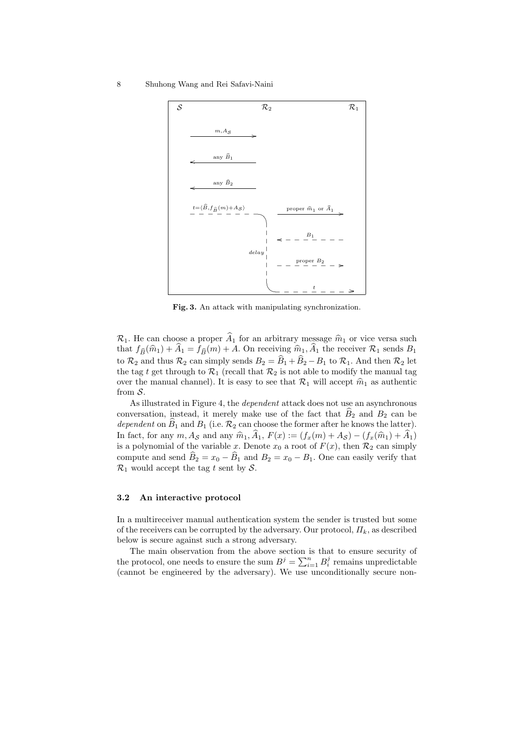

Fig. 3. An attack with manipulating synchronization.

 $\mathcal{R}_1$ . He can choose a proper  $\widehat{A}_1$  for an arbitrary message  $\widehat{m}_1$  or vice versa such that  $f_{\widehat{B}}(\widehat{m}_1) + \widehat{A}_1 = f_{\widehat{B}}(m) + A$ . On receiving  $\widehat{m}_1, \widehat{A}_1$  the receiver  $\mathcal{R}_1$  sends  $B_1$ to  $\mathcal{R}_2$  and thus  $\mathcal{R}_2$  can simply sends  $B_2 = \widehat{B}_1 + \widehat{B}_2 - B_1$  to  $\mathcal{R}_1$ . And then  $\mathcal{R}_2$  let the tag t get through to  $\mathcal{R}_1$  (recall that  $\mathcal{R}_2$  is not able to modify the manual tag over the manual channel). It is easy to see that  $\mathcal{R}_1$  will accept  $\hat{m}_1$  as authentic from S.

As illustrated in Figure 4, the dependent attack does not use an asynchronous conversation, instead, it merely make use of the fact that  $\widehat{B}_2$  and  $B_2$  can be dependent on  $\widehat{B}_1$  and  $B_1$  (i.e.  $\mathcal{R}_2$  can choose the former after he knows the latter). In fact, for any  $m, A_{\mathcal{S}}$  and any  $\widehat{m}_1, \widehat{A}_1, F(x) := (f_x(m) + A_{\mathcal{S}}) - (f_x(\widehat{m}_1) + \widehat{A}_1)$ is a polynomial of the variable x. Denote  $x_0$  a root of  $F(x)$ , then  $\mathcal{R}_2$  can simply compute and send  $\hat{B}_2 = x_0 - \hat{B}_1$  and  $B_2 = x_0 - B_1$ . One can easily verify that  $\mathcal{R}_1$  would accept the tag t sent by S.

### 3.2 An interactive protocol

In a multireceiver manual authentication system the sender is trusted but some of the receivers can be corrupted by the adversary. Our protocol,  $\Pi_k$ , as described below is secure against such a strong adversary.

The main observation from the above section is that to ensure security of The main observation from the above section is that to ensure security of<br>the protocol, one needs to ensure the sum  $B^j = \sum_{i=1}^n B_i^j$  remains unpredictable (cannot be engineered by the adversary). We use unconditionally secure non-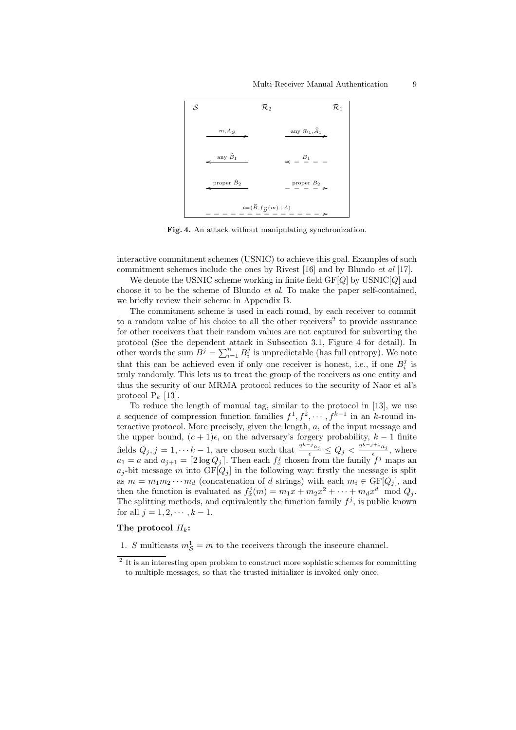

Fig. 4. An attack without manipulating synchronization.

interactive commitment schemes (USNIC) to achieve this goal. Examples of such commitment schemes include the ones by Rivest [16] and by Blundo et al [17].

We denote the USNIC scheme working in finite field  $GF[Q]$  by USNIC[ $Q$ ] and choose it to be the scheme of Blundo et al. To make the paper self-contained, we briefly review their scheme in Appendix B.

The commitment scheme is used in each round, by each receiver to commit to a random value of his choice to all the other receivers<sup>2</sup> to provide assurance for other receivers that their random values are not captured for subverting the protocol (See the dependent attack in Subsection 3.1, Figure 4 for detail). In<br>other words the sum  $P^j$ .  $\sum^n P^j$  is unpredictable (has full aptroxy). We note other words the sum  $B^j = \sum_{i=1}^n B_i^j$  is unpredictable (has full entropy). We note that this can be achieved even if only one receiver is honest, i.e., if one  $B_i^j$  is truly randomly. This lets us to treat the group of the receivers as one entity and thus the security of our MRMA protocol reduces to the security of Naor et al's protocol  $P_k$  [13].

To reduce the length of manual tag, similar to the protocol in [13], we use a sequence of compression function families  $f^1, f^2, \dots, f^{k-1}$  in an k-round interactive protocol. More precisely, given the length, a, of the input message and the upper bound,  $(c + 1)\epsilon$ , on the adversary's forgery probability,  $k - 1$  finite fields  $Q_j, j = 1, \dots k-1$ , are chosen such that  $\frac{2^{k-j}a_j}{\epsilon} \leq Q_j < \frac{2^{k-j+1}a_j}{\epsilon}$ , where  $a_1 = a$  and  $a_{j+1} = \lceil 2 \log Q_j \rceil$ . Then each  $f_x^j$  chosen from the family  $f^j$  maps an  $a_j$ -bit message m into  $GF[Q_j]$  in the following way: firstly the message is split as  $m = m_1 m_2 \cdots m_d$  (concatenation of d strings) with each  $m_i \in \text{GF}[Q_i]$ , and then the function is evaluated as  $f_x^j(m) = m_1x + m_2x^2 + \cdots + m_dx^d \mod Q_j$ . The splitting methods, and equivalently the function family  $f^j$ , is public known for all  $j = 1, 2, \cdots, k - 1$ .

### The protocol  $\Pi_k$ :

1. S multicasts  $m_S^1 = m$  to the receivers through the insecure channel.

<sup>&</sup>lt;sup>2</sup> It is an interesting open problem to construct more sophistic schemes for committing to multiple messages, so that the trusted initializer is invoked only once.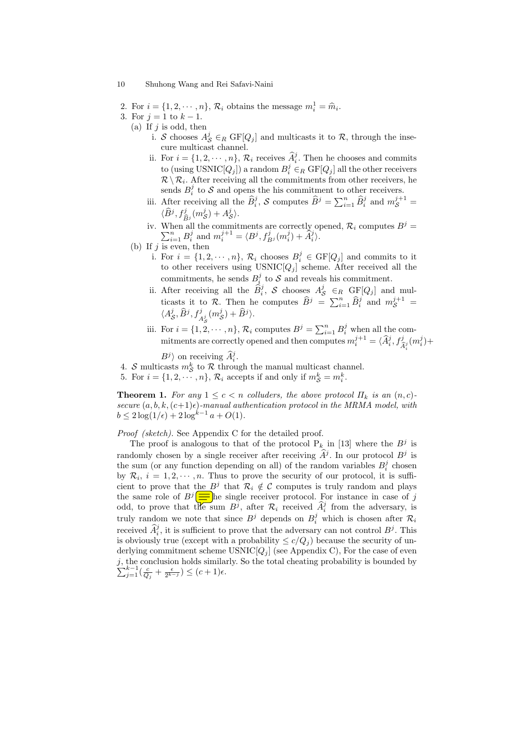- 2. For  $i = \{1, 2, \dots, n\}$ ,  $\mathcal{R}_i$  obtains the message  $m_i^1 = \hat{m}_i$ .
- 3. For  $j = 1$  to  $k 1$ .
	- (a) If  $j$  is odd, then
		- i. S chooses  $A_{\mathcal{S}}^{j} \in_R \mathrm{GF}[Q_j]$  and multicasts it to  $\mathcal{R}$ , through the insecure multicast channel.
		- ii. For  $i = \{1, 2, \dots, n\}, \mathcal{R}_i$  receives  $\hat{A}_i^j$ . Then he chooses and commits to (using  $\mathrm{USNIC}[Q_j])$  a random  $B_i^j \in_R \mathrm{GF}[Q_j]$  all the other receivers  $\mathcal{R} \setminus \mathcal{R}_i$ . After receiving all the commitments from other receivers, he sends  $B_i^j$  to S and opens the his commitment to other receivers.
		- iii. After receiving all the  $\hat{B}_i^j$ , S computes  $\hat{B}^j = \sum_{i=1}^n \hat{B}_i^j$  and  $m_S^{j+1} =$  $\langle \widehat{B}^{j}, f_{\widehat{B}^{j}}^{j}(m_{\mathcal{S}}^{j})+A_{\mathcal{S}}^{j}\rangle.$
		- iv. When all the commitments are correctly opened,  $\mathcal{R}_i$  computes  $B^j = \sum_{i=1}^n B_i^j$  and  $m_i^{j+1} = \langle B^j, f_{B^j}^j(m_i^j) + \hat{A}_i^j \rangle$ .
	- (b) If  $j$  is even, then
		- i. For  $i = \{1, 2, \dots, n\}$ ,  $\mathcal{R}_i$  chooses  $B_i^j \in \text{GF}[Q_j]$  and commits to it to other receivers using USNIC $[Q_j]$  scheme. After received all the commitments, he sends  $B_i^j$  to  $S$  and reveals his commitment.
		- ii. After receiving all the  $\hat{B}_i^j$ , S chooses  $A_{\mathcal{S}}^j \in_R \text{GF}[Q_j]$  and multicasts it to R. Then he computes  $\hat{B}^j = \sum_{i=1}^n \hat{B}_i^j$  and  $m_S^{j+1} =$  $\langle A_{\mathcal{S}}^{j}, \widehat{B}^{j}, f_{A_{\mathcal{S}}}^{j}(m_{\mathcal{S}}^{j})+\widehat{B}^{j}\rangle.$
		- iii. For  $i = \{1, 2, \dots, n\}, \mathcal{R}_i$  computes  $B^j = \sum_{i=1}^n B_i^j$  when all the commitments are correctly opened and then computes  $m_i^{j+1} = \langle \hat{A}_i^j, f^j_{\hat{A}_i^j}(m_i^j) +$ i

 $B^j$  on receiving  $\widehat{A}_i^j$ .

- 4. S multicasts  $m_S^k$  to R through the manual multicast channel.
- 5. For  $i = \{1, 2, \dots, n\}$ ,  $\mathcal{R}_i$  accepts if and only if  $m_S^k = m_i^k$ .

**Theorem 1.** For any  $1 \leq c < n$  colluders, the above protocol  $\Pi_k$  is an  $(n, c)$ secure  $(a, b, k, (c+1)\epsilon)$ -manual authentication protocol in the MRMA model, with  $b \leq 2\log(1/\epsilon) + 2\log^{k-1} a + O(1).$ 

Proof (sketch). See Appendix C for the detailed proof.

The proof is analogous to that of the protocol  $P_k$  in [13] where the  $B^j$  is randomly chosen by a single receiver after receiving  $\hat{A}^j$ . In our protocol  $B^j$  is the sum (or any function depending on all) of the random variables  $B_i^j$  chosen by  $\mathcal{R}_i$ ,  $i = 1, 2, \dots, n$ . Thus to prove the security of our protocol, it is sufficient to prove that the  $B^j$  that  $\mathcal{R}_i \notin \mathcal{C}$  computes is truly random and plays the same role of  $B^j$   $\equiv$  he single receiver protocol. For instance in case of j odd, to prove that the sum  $B^j$ , after  $\mathcal{R}_i$  received  $\hat{A}_i^j$  from the adversary, is truly random we note that since  $B^j$  depends on  $B_i^j$  which is chosen after  $\mathcal{R}_i$ received  $\widehat{A}_i^j$ , it is sufficient to prove that the adversary can not control  $B^j$ . This is obviously true (except with a probability  $\leq c/Q_i$ ) because the security of underlying commitment scheme USNIC $[Q_i]$  (see Appendix C), For the case of even j , the conclusion holds similarly. So the total cheating probability is bounded by *J*, the concrusion holds similarly<br> $\sum_{j=1}^{k-1} \left( \frac{c}{Q_j} + \frac{\epsilon}{2^{k-j}} \right) \leq (c+1)\epsilon.$ 

<sup>10</sup> Shuhong Wang and Rei Safavi-Naini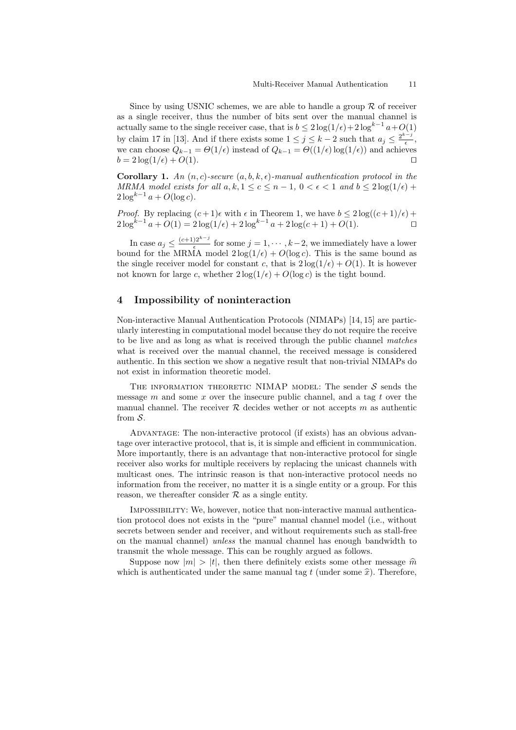Since by using USNIC schemes, we are able to handle a group  $\mathcal R$  of receiver as a single receiver, thus the number of bits sent over the manual channel is actually same to the single receiver case, that is  $b \leq 2\log(1/\epsilon) + 2\log^{k-1} a + O(1)$ by claim 17 in [13]. And if there exists some  $1 \leq j \leq k-2$  such that  $a_j \leq \frac{2^{k-j}}{6}$  $\frac{\epsilon}{\epsilon}$ , we can choose  $Q_{k-1} = \Theta(1/\epsilon)$  instead of  $Q_{k-1} = \Theta((1/\epsilon) \log(1/\epsilon))$  and achieves  $b = 2 \log(1/\epsilon) + O(1).$ 

**Corollary 1.** An  $(n, c)$ -secure  $(a, b, k, \epsilon)$ -manual authentication protocol in the MRMA model exists for all  $a, k, 1 \leq c \leq n-1, 0 \leq \epsilon \leq 1$  and  $b \leq 2\log(1/\epsilon)$  +  $2\log^{k-1} a + O(\log c)$ .

*Proof.* By replacing  $(c+1)\epsilon$  with  $\epsilon$  in Theorem 1, we have  $b \leq 2\log((c+1)/\epsilon)$  +  $2\log^{k-1} a + O(1) = 2\log(1/\epsilon) + 2\log^{k-1} a + 2\log(c+1) + O(1).$ 

In case  $a_j \leq \frac{(c+1)2^{k-j}}{6}$  $\sum_{\epsilon}^{j2^{r-j}}$  for some  $j=1,\cdots,k-2$ , we immediately have a lower bound for the MRMA model  $2\log(1/\epsilon) + O(\log c)$ . This is the same bound as the single receiver model for constant c, that is  $2\log(1/\epsilon) + O(1)$ . It is however not known for large c, whether  $2\log(1/\epsilon) + O(\log c)$  is the tight bound.

# 4 Impossibility of noninteraction

Non-interactive Manual Authentication Protocols (NIMAPs) [14, 15] are particularly interesting in computational model because they do not require the receive to be live and as long as what is received through the public channel matches what is received over the manual channel, the received message is considered authentic. In this section we show a negative result that non-trivial NIMAPs do not exist in information theoretic model.

THE INFORMATION THEORETIC NIMAP MODEL: The sender  $S$  sends the message  $m$  and some  $x$  over the insecure public channel, and a tag  $t$  over the manual channel. The receiver  $\mathcal R$  decides wether or not accepts m as authentic from  $S$ .

Advantage: The non-interactive protocol (if exists) has an obvious advantage over interactive protocol, that is, it is simple and efficient in communication. More importantly, there is an advantage that non-interactive protocol for single receiver also works for multiple receivers by replacing the unicast channels with multicast ones. The intrinsic reason is that non-interactive protocol needs no information from the receiver, no matter it is a single entity or a group. For this reason, we thereafter consider  $R$  as a single entity.

Impossibility: We, however, notice that non-interactive manual authentication protocol does not exists in the "pure" manual channel model (i.e., without secrets between sender and receiver, and without requirements such as stall-free on the manual channel) unless the manual channel has enough bandwidth to transmit the whole message. This can be roughly argued as follows.

Suppose now  $|m| > |t|$ , then there definitely exists some other message  $\hat{m}$ which is authenticated under the same manual tag t (under some  $\hat{x}$ ). Therefore,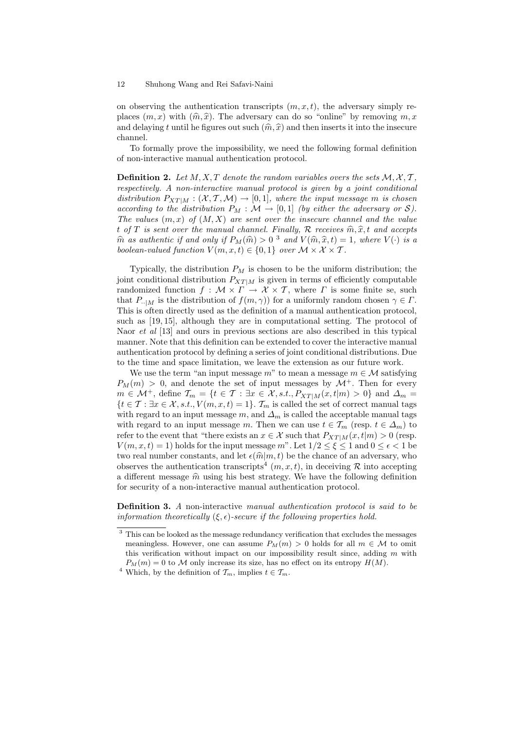on observing the authentication transcripts  $(m, x, t)$ , the adversary simply replaces  $(m, x)$  with  $(\hat{m}, \hat{x})$ . The adversary can do so "online" by removing  $m, x$ and delaying t until he figures out such  $(\hat{m}, \hat{x})$  and then inserts it into the insecure channel.

To formally prove the impossibility, we need the following formal definition of non-interactive manual authentication protocol.

**Definition 2.** Let  $M, X, T$  denote the random variables overs the sets  $M, X, T$ , respectively. A non-interactive manual protocol is given by a joint conditional distribution  $P_{XT|M} : (\mathcal{X}, \mathcal{T}, \mathcal{M}) \to [0, 1]$ , where the input message m is chosen according to the distribution  $P_M : \mathcal{M} \to [0,1]$  (by either the adversary or S). The values  $(m, x)$  of  $(M, X)$  are sent over the insecure channel and the value t of T is sent over the manual channel. Finally, R receives  $\widehat{m}, \widehat{x}, t$  and accepts  $\hat{m}$  as authentic if and only if  $P_M(\hat{m}) > 0$  <sup>3</sup> and  $V(\hat{m}, \hat{x}, t) = 1$ , where  $V(\cdot)$  is a boolean-valued function  $V(m, x, t) \in \{0, 1\}$  over  $\mathcal{M} \times \mathcal{X} \times \mathcal{T}$ .

Typically, the distribution  $P_M$  is chosen to be the uniform distribution; the joint conditional distribution  $P_{XT|M}$  is given in terms of efficiently computable randomized function  $f : \mathcal{M} \times \Gamma \rightarrow \mathcal{X} \times \mathcal{T}$ , where  $\Gamma$  is some finite se, such that P<sub>··</sub>|M is the distribution of  $f(m, \gamma)$  for a uniformly random chosen  $\gamma \in \Gamma$ . This is often directly used as the definition of a manual authentication protocol, such as [19, 15], although they are in computational setting. The protocol of Naor *et al* [13] and ours in previous sections are also described in this typical manner. Note that this definition can be extended to cover the interactive manual authentication protocol by defining a series of joint conditional distributions. Due to the time and space limitation, we leave the extension as our future work.

We use the term "an input message  $m$ " to mean a message  $m \in \mathcal{M}$  satisfying  $P_M(m) > 0$ , and denote the set of input messages by  $\mathcal{M}^+$ . Then for every  $m \in \mathcal{M}^+$ , define  $\mathcal{T}_m = \{t \in \mathcal{T} : \exists x \in \mathcal{X}, s.t., P_{XT|M}(x, t|m) > 0\}$  and  $\Delta_m =$  $\{t \in \mathcal{T} : \exists x \in \mathcal{X}, s.t., V(m, x, t) = 1\}$ .  $\mathcal{T}_m$  is called the set of correct manual tags with regard to an input message m, and  $\Delta_m$  is called the acceptable manual tags with regard to an input message m. Then we can use  $t \in \mathcal{T}_m$  (resp.  $t \in \Delta_m$ ) to refer to the event that "there exists an  $x \in \mathcal{X}$  such that  $P_{XT|M}(x, t|m) > 0$  (resp.  $V(m, x, t) = 1$ ) holds for the input message m<sup>n</sup>. Let  $1/2 \le \xi \le 1$  and  $0 \le \epsilon < 1$  be two real number constants, and let  $\epsilon(\hat{m} | m, t)$  be the chance of an adversary, who observes the authentication transcripts<sup>4</sup>  $(m, x, t)$ , in deceiving R into accepting a different message  $\hat{m}$  using his best strategy. We have the following definition for security of a non-interactive manual authentication protocol.

Definition 3. A non-interactive manual authentication protocol is said to be information theoretically  $(\xi, \epsilon)$ -secure if the following properties hold.

 $^3$  This can be looked as the message redundancy verification that excludes the messages meaningless. However, one can assume  $P_M(m) > 0$  holds for all  $m \in \mathcal{M}$  to omit this verification without impact on our impossibility result since, adding  $m$  with  $P_M(m) = 0$  to M only increase its size, has no effect on its entropy  $H(M)$ .

<sup>&</sup>lt;sup>4</sup> Which, by the definition of  $\mathcal{T}_m$ , implies  $t \in \mathcal{T}_m$ .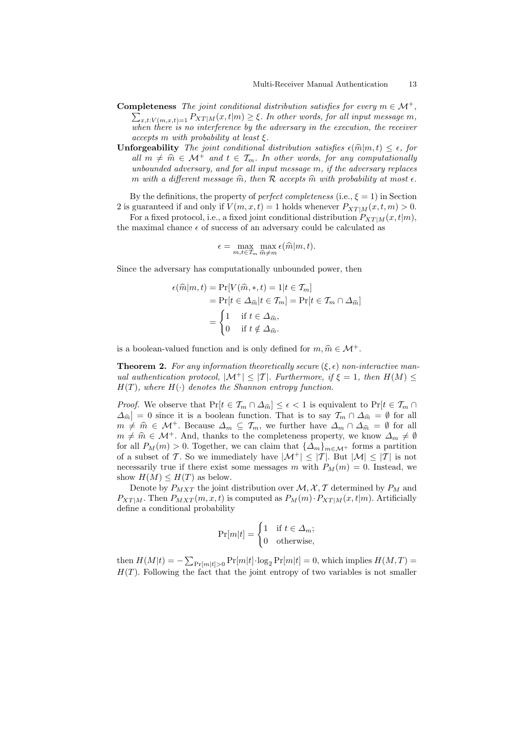- **Completeness** The joint conditional distribution satisfies for every  $m \in \mathcal{M}^+$ ,  $\sum_{x,t:V(m,x,t)=1} P_{XT|M}(x,t|m) \geq \xi$ . In other words, for all input message m, when there is no interference by the adversary in the execution, the receiver  $accepts$  m with probability at least  $\xi$ .
- **Unforgeability** The joint conditional distribution satisfies  $\epsilon(\hat{m} | m, t) \leq \epsilon$ , for all  $m \neq \hat{m} \in \mathcal{M}^+$  and  $t \in \mathcal{T}_m$ . In other words, for any computationally unbounded adversary, and for all input message m, if the adversary replaces m with a different message  $\hat{m}$ , then R accepts  $\hat{m}$  with probability at most  $\epsilon$ .

By the definitions, the property of *perfect completeness* (i.e.,  $\xi = 1$ ) in Section 2 is guaranteed if and only if  $V(m, x, t) = 1$  holds whenever  $P_{XT|M}(x, t, m) > 0$ .

For a fixed protocol, i.e., a fixed joint conditional distribution  $P_{XT|M}(x, t|m)$ , the maximal chance  $\epsilon$  of success of an adversary could be calculated as

$$
\epsilon = \max_{m,t \in \mathcal{T}_m} \max_{\widehat{m} \neq m} \epsilon(\widehat{m}|m,t).
$$

Since the adversary has computationally unbounded power, then

$$
\epsilon(\widehat{m}|m,t) = \Pr[V(\widehat{m},*,t) = 1 | t \in \mathcal{T}_m]
$$

$$
= \Pr[t \in \Delta_{\widehat{m}} | t \in \mathcal{T}_m] = \Pr[t \in \mathcal{T}_m \cap \Delta_{\widehat{m}}]
$$

$$
= \begin{cases} 1 & \text{if } t \in \Delta_{\widehat{m}}, \\ 0 & \text{if } t \notin \Delta_{\widehat{m}}. \end{cases}
$$

is a boolean-valued function and is only defined for  $m, \hat{m} \in \mathcal{M}^+$ .

**Theorem 2.** For any information theoretically secure  $(\xi, \epsilon)$  non-interactive manual authentication protocol,  $|\mathcal{M}^+| \leq |\mathcal{T}|$ . Furthermore, if  $\xi = 1$ , then  $H(M) \leq$  $H(T)$ , where  $H(\cdot)$  denotes the Shannon entropy function.

*Proof.* We observe that  $Pr[t \in \mathcal{T}_m \cap \Delta_{\hat{m}}] \leq \epsilon < 1$  is equivalent to  $Pr[t \in \mathcal{T}_m \cap \Delta_{\hat{m}}]$  $\Delta_{\hat{m}}$  = 0 since it is a boolean function. That is to say  $\mathcal{T}_m \cap \Delta_{\hat{m}} = \emptyset$  for all  $m \neq \hat{m} \in \mathcal{M}^+$ . Because  $\Delta_m \subseteq \mathcal{T}_m$ , we further have  $\Delta_m \cap \Delta_{\hat{m}} = \emptyset$  for all  $m \neq \hat{m} \in \mathcal{M}^+$ . And, thanks to the completeness property, we know  $\Delta_m \neq \emptyset$ for all  $P_M(m) > 0$ . Together, we can claim that  $\{\Delta_m\}_{m \in \mathcal{M}^+}$  forms a partition of a subset of T. So we immediately have  $|\mathcal{M}^+| \leq |\mathcal{T}|$ . But  $|\mathcal{M}| \leq |\mathcal{T}|$  is not necessarily true if there exist some messages m with  $P_M(m) = 0$ . Instead, we show  $H(M) \leq H(T)$  as below.

Denote by  $P_{MXT}$  the joint distribution over  $M, X, T$  determined by  $P_M$  and  $P_{XT|M}$ . Then  $P_{MXT}(m, x, t)$  is computed as  $P_M(m) \cdot P_{XT|M}(x, t|m)$ . Artificially define a conditional probability

$$
\Pr[m|t] = \begin{cases} 1 & \text{if } t \in \Delta_m; \\ 0 & \text{otherwise,} \end{cases}
$$

then  $H(M|t) = -\sum_{\Pr[m|t]>0} \Pr[m|t] \cdot \log_2 \Pr[m|t] = 0$ , which implies  $H(M,T) =$  $H(T)$ . Following the fact that the joint entropy of two variables is not smaller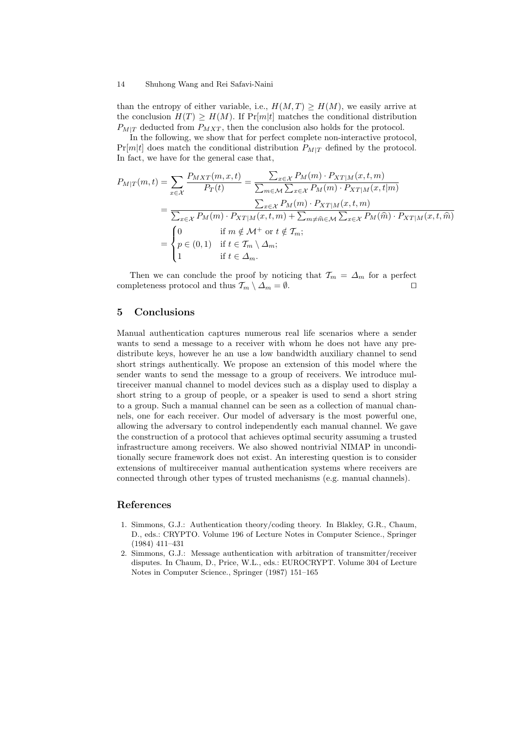than the entropy of either variable, i.e.,  $H(M,T) \ge H(M)$ , we easily arrive at the conclusion  $H(T) \geq H(M)$ . If  $Pr[m|t]$  matches the conditional distribution  $P_{M|T}$  deducted from  $P_{MXT}$ , then the conclusion also holds for the protocol.

In the following, we show that for perfect complete non-interactive protocol,  $Pr[m|t]$  does match the conditional distribution  $P_{M|T}$  defined by the protocol. In fact, we have for the general case that,

$$
P_{M|T}(m,t) = \sum_{x \in \mathcal{X}} \frac{P_{MXT}(m,x,t)}{P_T(t)} = \frac{\sum_{x \in \mathcal{X}} P_M(m) \cdot P_{XT|M}(x,t,m)}{\sum_{x \in \mathcal{X}} P_M(m) \cdot P_{XT|M}(x,t|m)}
$$
  
= 
$$
\frac{\sum_{x \in \mathcal{X}} P_M(m) \cdot P_{XT|M}(x,t,m)}{\sum_{x \in \mathcal{X}} P_M(m) \cdot P_{XT|M}(x,t,m) + \sum_{m \neq \widehat{m} \in \mathcal{M}} \sum_{x \in \mathcal{X}} P_M(\widehat{m}) \cdot P_{XT|M}(x,t,\widehat{m})}
$$
  
= 
$$
\begin{cases} 0 & \text{if } m \notin \mathcal{M}^+ \text{ or } t \notin \mathcal{T}_m; \\ p \in (0,1) & \text{if } t \in \mathcal{I}_m \setminus \Delta_m; \\ 1 & \text{if } t \in \Delta_m. \end{cases}
$$

Then we can conclude the proof by noticing that  $\mathcal{T}_m = \Delta_m$  for a perfect completeness protocol and thus  $\mathcal{T}_m \setminus \Delta_m = \emptyset$ .

# 5 Conclusions

Manual authentication captures numerous real life scenarios where a sender wants to send a message to a receiver with whom he does not have any predistribute keys, however he an use a low bandwidth auxiliary channel to send short strings authentically. We propose an extension of this model where the sender wants to send the message to a group of receivers. We introduce multireceiver manual channel to model devices such as a display used to display a short string to a group of people, or a speaker is used to send a short string to a group. Such a manual channel can be seen as a collection of manual channels, one for each receiver. Our model of adversary is the most powerful one, allowing the adversary to control independently each manual channel. We gave the construction of a protocol that achieves optimal security assuming a trusted infrastructure among receivers. We also showed nontrivial NIMAP in unconditionally secure framework does not exist. An interesting question is to consider extensions of multireceiver manual authentication systems where receivers are connected through other types of trusted mechanisms (e.g. manual channels).

### References

- 1. Simmons, G.J.: Authentication theory/coding theory. In Blakley, G.R., Chaum, D., eds.: CRYPTO. Volume 196 of Lecture Notes in Computer Science., Springer (1984) 411–431
- 2. Simmons, G.J.: Message authentication with arbitration of transmitter/receiver disputes. In Chaum, D., Price, W.L., eds.: EUROCRYPT. Volume 304 of Lecture Notes in Computer Science., Springer (1987) 151–165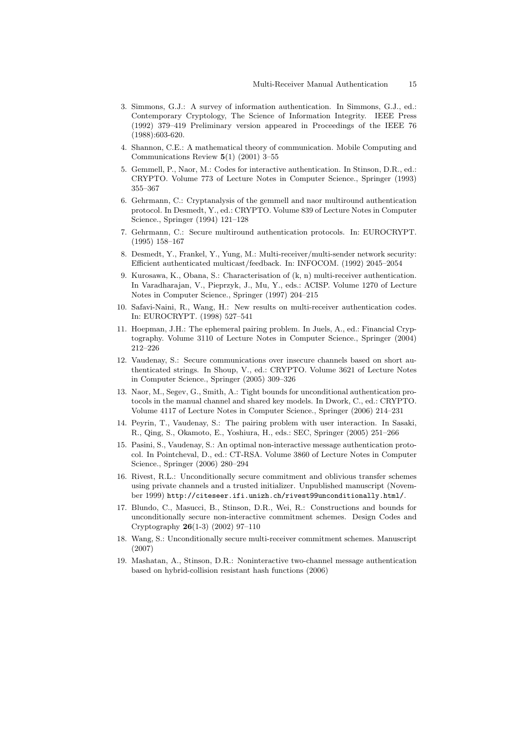- 3. Simmons, G.J.: A survey of information authentication. In Simmons, G.J., ed.: Contemporary Cryptology, The Science of Information Integrity. IEEE Press (1992) 379–419 Preliminary version appeared in Proceedings of the IEEE 76 (1988):603-620.
- 4. Shannon, C.E.: A mathematical theory of communication. Mobile Computing and Communications Review 5(1) (2001) 3–55
- 5. Gemmell, P., Naor, M.: Codes for interactive authentication. In Stinson, D.R., ed.: CRYPTO. Volume 773 of Lecture Notes in Computer Science., Springer (1993) 355–367
- 6. Gehrmann, C.: Cryptanalysis of the gemmell and naor multiround authentication protocol. In Desmedt, Y., ed.: CRYPTO. Volume 839 of Lecture Notes in Computer Science., Springer (1994) 121–128
- 7. Gehrmann, C.: Secure multiround authentication protocols. In: EUROCRYPT. (1995) 158–167
- 8. Desmedt, Y., Frankel, Y., Yung, M.: Multi-receiver/multi-sender network security: Efficient authenticated multicast/feedback. In: INFOCOM. (1992) 2045–2054
- 9. Kurosawa, K., Obana, S.: Characterisation of (k, n) multi-receiver authentication. In Varadharajan, V., Pieprzyk, J., Mu, Y., eds.: ACISP. Volume 1270 of Lecture Notes in Computer Science., Springer (1997) 204–215
- 10. Safavi-Naini, R., Wang, H.: New results on multi-receiver authentication codes. In: EUROCRYPT. (1998) 527–541
- 11. Hoepman, J.H.: The ephemeral pairing problem. In Juels, A., ed.: Financial Cryptography. Volume 3110 of Lecture Notes in Computer Science., Springer (2004) 212–226
- 12. Vaudenay, S.: Secure communications over insecure channels based on short authenticated strings. In Shoup, V., ed.: CRYPTO. Volume 3621 of Lecture Notes in Computer Science., Springer (2005) 309–326
- 13. Naor, M., Segev, G., Smith, A.: Tight bounds for unconditional authentication protocols in the manual channel and shared key models. In Dwork, C., ed.: CRYPTO. Volume 4117 of Lecture Notes in Computer Science., Springer (2006) 214–231
- 14. Peyrin, T., Vaudenay, S.: The pairing problem with user interaction. In Sasaki, R., Qing, S., Okamoto, E., Yoshiura, H., eds.: SEC, Springer (2005) 251–266
- 15. Pasini, S., Vaudenay, S.: An optimal non-interactive message authentication protocol. In Pointcheval, D., ed.: CT-RSA. Volume 3860 of Lecture Notes in Computer Science., Springer (2006) 280–294
- 16. Rivest, R.L.: Unconditionally secure commitment and oblivious transfer schemes using private channels and a trusted initializer. Unpublished manuscript (November 1999) http://citeseer.ifi.unizh.ch/rivest99unconditionally.html/.
- 17. Blundo, C., Masucci, B., Stinson, D.R., Wei, R.: Constructions and bounds for unconditionally secure non-interactive commitment schemes. Design Codes and Cryptography 26(1-3) (2002) 97–110
- 18. Wang, S.: Unconditionally secure multi-receiver commitment schemes. Manuscript (2007)
- 19. Mashatan, A., Stinson, D.R.: Noninteractive two-channel message authentication based on hybrid-collision resistant hash functions (2006)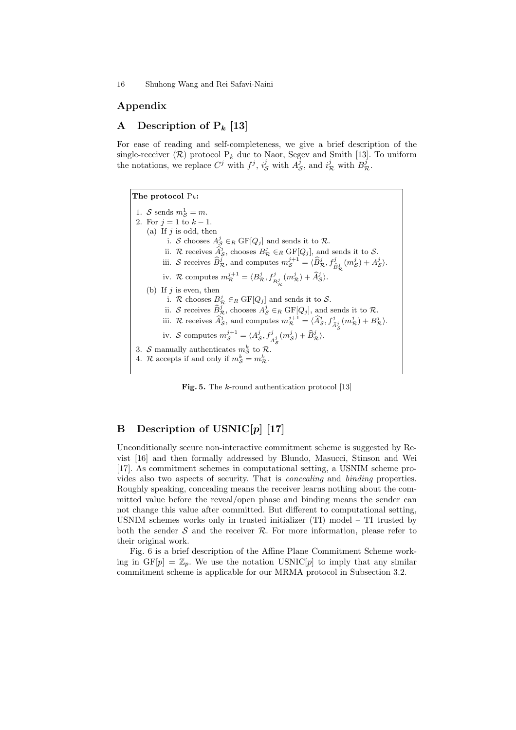# Appendix

# A Description of  $P_k$  [13]

For ease of reading and self-completeness, we give a brief description of the single-receiver  $(\mathcal{R})$  protocol  $P_k$  due to Naor, Segev and Smith [13]. To uniform the notations, we replace  $C^j$  with  $f^j$ ,  $i_{\mathcal{S}}^j$  with  $A_{\mathcal{S}}^j$ , and  $i_{\mathcal{R}}^j$  with  $B_{\mathcal{R}}^j$ .

The protocol  $P_k$ : 1. S sends  $m_S^1 = m$ . 2. For  $j = 1$  to  $k - 1$ . (a) If  $j$  is odd, then i. S chooses  $A_{\mathcal{S}}^{j} \in_R \mathrm{GF}[Q_j]$  and sends it to  $\mathcal{R}$ . ii. R receives  $\widehat{A}_{\mathcal{S}}^j$ , chooses  $B_{\mathcal{R}}^j \in_R \mathrm{GF}[Q_j]$ , and sends it to  $\mathcal{S}$ . iii. S receives  $\widehat{B}_{\mathcal{R}}^j$ , and computes  $m_{\mathcal{S}}^{j+1} = \langle \widehat{B}_{\mathcal{R}}^j, f_{\widehat{B}_{\mathcal{R}}^j}^j(m_{\mathcal{S}}^j) + A_{\mathcal{S}}^j \rangle$ . iv. R computes  $m_{\mathcal{R}}^{j+1} = \langle B_{\mathcal{R}}^j, f_{B_{\mathcal{R}}^j}^j(m_{\mathcal{R}}^j) + \hat{A}_{\mathcal{S}}^j \rangle$ . (b) If  $j$  is even, then i. R chooses  $B^j_{\mathcal{R}} \in_R \mathrm{GF}[Q_j]$  and sends it to S. ii. S receives  $\widehat{B}_{\mathcal{R}}^j$ , chooses  $A_{\mathcal{S}}^j \in_R \mathrm{GF}[Q_j]$ , and sends it to  $\mathcal{R}$ . iii. R receives  $\hat{A}_{\mathcal{S}}^j$ , and computes  $m_{\mathcal{R}}^{j+1} = \langle \hat{A}_{\mathcal{S}}^j, f_{\hat{A}_{\mathcal{S}}^j}^j(m_{\mathcal{R}}^j) + B_{\mathcal{R}}^j \rangle$ . iv. S computes  $m_S^{j+1} = \langle A_S^j, f_{A_S^j}^j(m_S^j) + \widehat{B}_R^j \rangle$ . 3. S manually authenticates  $m_S^k$  to  $\mathcal{R}$ . 4. R accepts if and only if  $m_S^k = m_{\mathcal{R}}^k$ .

Fig. 5. The k-round authentication protocol [13]

# B Description of USNIC $[p]$  [17]

Unconditionally secure non-interactive commitment scheme is suggested by Revist [16] and then formally addressed by Blundo, Masucci, Stinson and Wei [17]. As commitment schemes in computational setting, a USNIM scheme provides also two aspects of security. That is concealing and binding properties. Roughly speaking, concealing means the receiver learns nothing about the committed value before the reveal/open phase and binding means the sender can not change this value after committed. But different to computational setting, USNIM schemes works only in trusted initializer (TI) model – TI trusted by both the sender  $S$  and the receiver  $R$ . For more information, please refer to their original work.

Fig. 6 is a brief description of the Affine Plane Commitment Scheme working in  $GF[p] = \mathbb{Z}_p$ . We use the notation USNIC[p] to imply that any similar commitment scheme is applicable for our MRMA protocol in Subsection 3.2.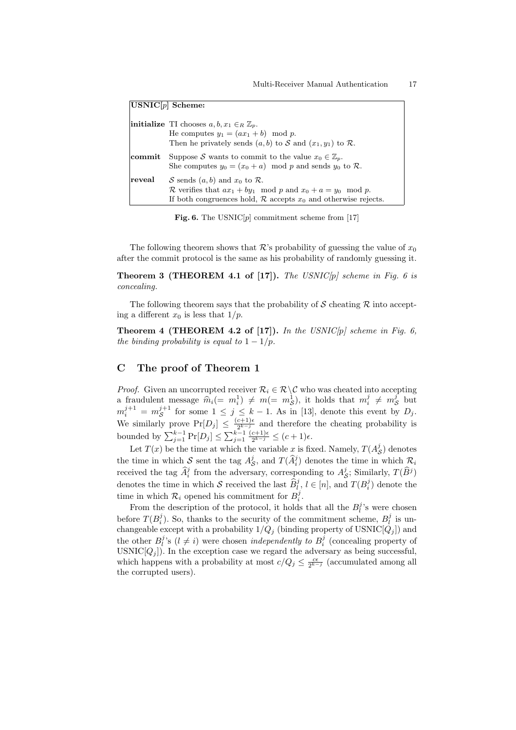| $\overline{\text{USNIC}}[p]$ Scheme: |                                                                                                                                                                             |
|--------------------------------------|-----------------------------------------------------------------------------------------------------------------------------------------------------------------------------|
|                                      | initialize TI chooses $a, b, x_1 \in_R \mathbb{Z}_p$ .<br>He computes $y_1 = (ax_1 + b) \mod p$ .<br>Then he privately sends $(a, b)$ to S and $(x_1, y_1)$ to R.           |
| commit                               | Suppose S wants to commit to the value $x_0 \in \mathbb{Z}_n$ .<br>She computes $y_0 = (x_0 + a) \mod p$ and sends $y_0$ to $\mathcal{R}$ .                                 |
| $ {\rm reveal} $                     | S sends $(a, b)$ and $x_0$ to R.<br>R verifies that $ax_1 + by_1 \mod p$ and $x_0 + a = y_0 \mod p$ .<br>If both congruences hold, $R$ accepts $x_0$ and otherwise rejects. |

Fig. 6. The USNIC $[p]$  commitment scheme from [17]

The following theorem shows that  $\mathcal{R}$ 's probability of guessing the value of  $x_0$ after the commit protocol is the same as his probability of randomly guessing it.

**Theorem 3 (THEOREM 4.1 of [17]).** The USNIC $[p]$  scheme in Fig. 6 is concealing.

The following theorem says that the probability of  $S$  cheating  $R$  into accepting a different  $x_0$  is less that  $1/p$ .

**Theorem 4 (THEOREM 4.2 of [17]).** In the USNIC $[p]$  scheme in Fig. 6, the binding probability is equal to  $1 - 1/p$ .

## C The proof of Theorem 1

*Proof.* Given an uncorrupted receiver  $\mathcal{R}_i \in \mathcal{R} \setminus \mathcal{C}$  who was cheated into accepting a fraudulent message  $\hat{m}_i (= m_i^1) \neq m (= m_S^1)$ , it holds that  $m_i^j \neq m_S^j$  but  $m_i^{j+1} = m_S^{j+1}$  for some  $1 \leq j \leq k-1$ . As in [13], denote this event by  $D_j$ . We similarly prove  $Pr[D_j] \leq \frac{(c+1)\epsilon}{2^{k-j}}$ We similarly prove  $Pr[D_j] \leq \frac{(c+1)\epsilon}{2^{k-j}}$  and therefore the cheating probability is bounded by  $\sum_{j=1}^{k-1} Pr[D_j] \leq \sum_{j=1}^{k-1} \frac{(c+1)\epsilon}{2^{k-j}} \leq (c+1)\epsilon$ .  $\frac{c+1}{2^{k-j}} \leq (c+1)\epsilon.$ 

Let  $T(x)$  be the time at which the variable x is fixed. Namely,  $T(A_{\mathcal{S}}^{j})$  denotes j the time in which S sent the tag  $A_{\mathcal{S}}^{j}$ , and  $T(\widehat{A}_{i}^{j})$  denotes the time in which  $\mathcal{R}_{i}$ received the tag  $\widehat{A}_i^j$  from the adversary, corresponding to  $A_{\mathcal{S}}^j$ ; Similarly,  $T(\widehat{B}^j)$ denotes the time in which S received the last  $\widehat{B}_{l}^{j}$ ,  $l \in [n]$ , and  $T(B_{i}^{j})$  denote the time in which  $\mathcal{R}_i$  opened his commitment for  $B_i^j$ .

From the description of the protocol, it holds that all the  $B_l^j$ 's were chosen before  $T(B_i^j)$ . So, thanks to the security of the commitment scheme,  $B_i^j$  is unchangeable except with a probability  $1/Q_j$  (binding property of USNIC[ $Q_j$ ]) and the other  $B_l^j$ 's  $(l \neq i)$  were chosen *independently to*  $B_i^j$  (concealing property of USNIC $[Q_j]$ ). In the exception case we regard the adversary as being successful, which happens with a probability at most  $c/Q_j \leq \frac{c\epsilon}{2^{k-j}}$  (accumulated among all the corrupted users).